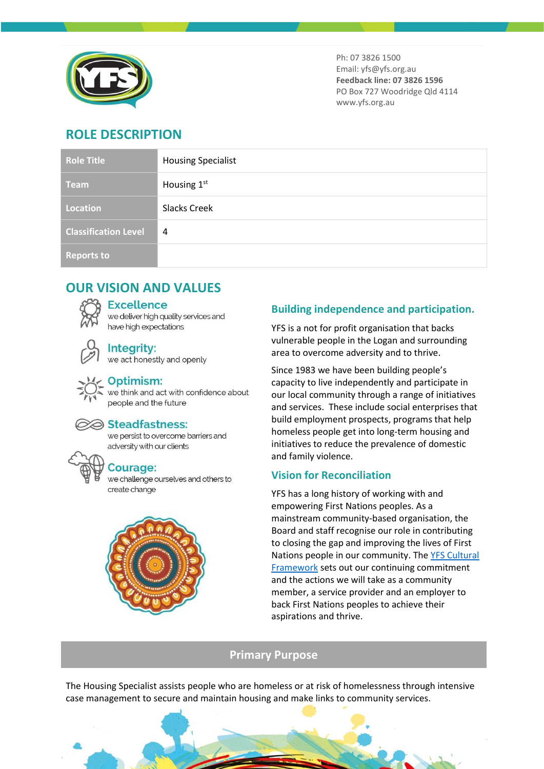

Ph: 07 3826 1500 Email: yfs@yfs.org.au **Feedback line: 07 3826 1596** PO Box 727 Woodridge Qld 4114 www.yfs.org.au

# **ROLE DESCRIPTION**

| <b>Role Title</b>           | <b>Housing Specialist</b> |
|-----------------------------|---------------------------|
| <b>Team</b>                 | Housing 1st               |
| Location                    | <b>Slacks Creek</b>       |
| <b>Classification Level</b> | 4                         |
| <b>Reports to</b>           |                           |

# **OUR VISION AND VALUES**

#### **Excellence**

we deliver high quality services and have high expectations

Integrity: we act honestly and openly



### Optimism:

we think and act with confidence about people and the future



#### Steadfastness:

we persist to overcome barriers and adversity with our clients

## **Courage:**

we challenge ourselves and others to create change



## **Building independence and participation.**

YFS is a not for profit organisation that backs vulnerable people in the Logan and surrounding area to overcome adversity and to thrive.

Since 1983 we have been building people's capacity to live independently and participate in our local community through a range of initiatives and services. These include social enterprises that build employment prospects, programs that help homeless people get into long-term housing and initiatives to reduce the prevalence of domestic and family violence.

## **Vision for Reconciliation**

YFS has a long history of working with and empowering First Nations peoples. As a mainstream community-based organisation, the Board and staff recognise our role in contributing to closing the gap and improving the lives of First Nations people in our community. The [YFS Cultural](https://www.yfs.org.au/wp-content/uploads/2021/01/PP_YFS_FirstNationsCulturalFramework_BROCHURE_v0_SinglePages.pdf)  [Framework](https://www.yfs.org.au/wp-content/uploads/2021/01/PP_YFS_FirstNationsCulturalFramework_BROCHURE_v0_SinglePages.pdf) sets out our continuing commitment and the actions we will take as a community member, a service provider and an employer to back First Nations peoples to achieve their aspirations and thrive.

## **Primary Purpose**

The Housing Specialist assists people who are homeless or at risk of homelessness through intensive case management to secure and maintain housing and make links to community services.

 $\mathcal{A}$  and  $\mathcal{A}$  points of  $\mathcal{A}$  and  $\mathcal{A}$  becomes 12.00570 page 12.00570  $\mathcal{A}$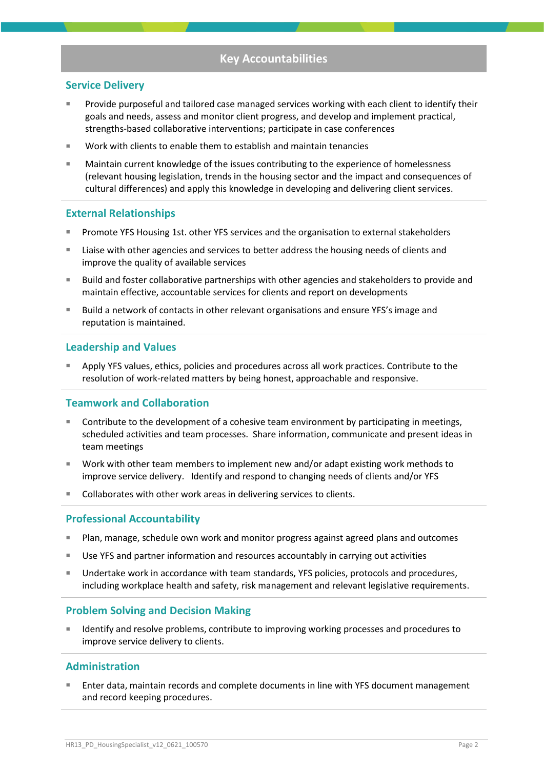## **Key Accountabilities**

#### **Service Delivery**

- Provide purposeful and tailored case managed services working with each client to identify their goals and needs, assess and monitor client progress, and develop and implement practical, strengths-based collaborative interventions; participate in case conferences
- Work with clients to enable them to establish and maintain tenancies
- Maintain current knowledge of the issues contributing to the experience of homelessness (relevant housing legislation, trends in the housing sector and the impact and consequences of cultural differences) and apply this knowledge in developing and delivering client services.

#### **External Relationships**

- Promote YFS Housing 1st. other YFS services and the organisation to external stakeholders
- Liaise with other agencies and services to better address the housing needs of clients and improve the quality of available services
- Build and foster collaborative partnerships with other agencies and stakeholders to provide and maintain effective, accountable services for clients and report on developments
- Build a network of contacts in other relevant organisations and ensure YFS's image and reputation is maintained.

#### **Leadership and Values**

Apply YFS values, ethics, policies and procedures across all work practices. Contribute to the resolution of work-related matters by being honest, approachable and responsive.

#### **Teamwork and Collaboration**

- Contribute to the development of a cohesive team environment by participating in meetings, scheduled activities and team processes. Share information, communicate and present ideas in team meetings
- Work with other team members to implement new and/or adapt existing work methods to improve service delivery. Identify and respond to changing needs of clients and/or YFS
- Collaborates with other work areas in delivering services to clients.

#### **Professional Accountability**

- Plan, manage, schedule own work and monitor progress against agreed plans and outcomes
- Use YFS and partner information and resources accountably in carrying out activities
- Undertake work in accordance with team standards, YFS policies, protocols and procedures, including workplace health and safety, risk management and relevant legislative requirements.

#### **Problem Solving and Decision Making**

Identify and resolve problems, contribute to improving working processes and procedures to improve service delivery to clients.

#### **Administration**

Enter data, maintain records and complete documents in line with YFS document management and record keeping procedures.